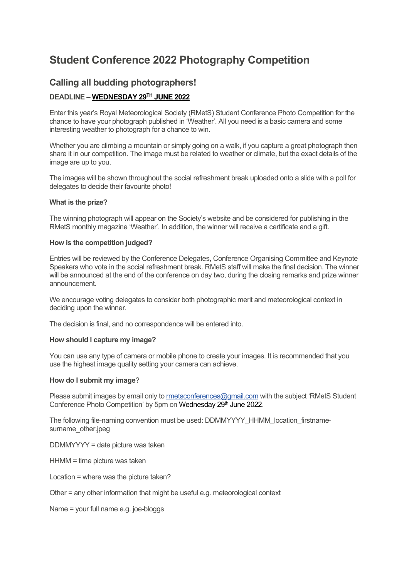# **Student Conference 2022 Photography Competition**

## **Calling all budding photographers!**

### **DEADLINE – WEDNESDAY 29TH JUNE 2022**

Enter this year's Royal Meteorological Society (RMetS) Student Conference Photo Competition for the chance to have your photograph published in 'Weather'. All you need is a basic camera and some interesting weather to photograph for a chance to win.

Whether you are climbing a mountain or simply going on a walk, if you capture a great photograph then share it in our competition. The image must be related to weather or climate, but the exact details of the image are up to you.

The images will be shown throughout the social refreshment break uploaded onto a slide with a poll for delegates to decide their favourite photo!

#### **What is the prize?**

The winning photograph will appear on the Society's website and be considered for publishing in the RMetS monthly magazine 'Weather'. In addition, the winner will receive a certificate and a gift.

#### **How is the competition judged?**

Entries will be reviewed by the Conference Delegates, Conference Organising Committee and Keynote Speakers who vote in the social refreshment break. RMetS staff will make the final decision. The winner will be announced at the end of the conference on day two, during the closing remarks and prize winner announcement.

We encourage voting delegates to consider both photographic merit and meteorological context in deciding upon the winner.

The decision is final, and no correspondence will be entered into.

#### **How should I capture my image?**

You can use any type of camera or mobile phone to create your images. It is recommended that you use the highest image quality setting your camera can achieve.

#### **How do I submit my image**?

Please submit images by email only to [rmetsconferences@gmail.com](mailto:rmetsconferences@gmail.com) with the subject 'RMetS Student Conference Photo Competition' by 5pm on Wednesday 29<sup>th</sup> June 2022.

The following file-naming convention must be used: DDMMYYYY\_HHMM\_location\_firstnamesurname\_other.jpeg

DDMMYYYY = date picture was taken

HHMM = time picture was taken

Location = where was the picture taken?

Other = any other information that might be useful e.g. meteorological context

Name = your full name e.g. joe-bloggs